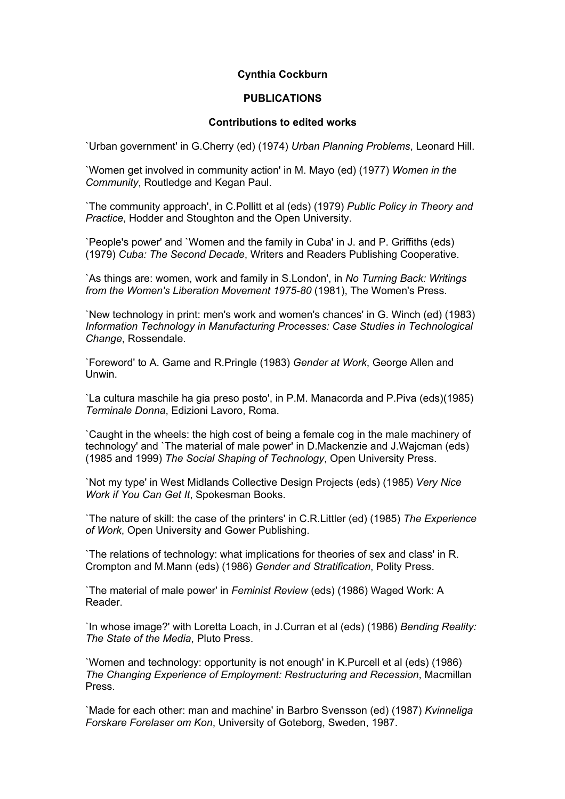## **Cynthia Cockburn**

## **PUBLICATIONS**

## **Contributions to edited works**

`Urban government' in G.Cherry (ed) (1974) *Urban Planning Problems*, Leonard Hill.

`Women get involved in community action' in M. Mayo (ed) (1977) *Women in the Community*, Routledge and Kegan Paul.

`The community approach', in C.Pollitt et al (eds) (1979) *Public Policy in Theory and Practice*, Hodder and Stoughton and the Open University.

`People's power' and `Women and the family in Cuba' in J. and P. Griffiths (eds) (1979) *Cuba: The Second Decade*, Writers and Readers Publishing Cooperative.

`As things are: women, work and family in S.London', in *No Turning Back: Writings from the Women's Liberation Movement 1975-80* (1981), The Women's Press.

`New technology in print: men's work and women's chances' in G. Winch (ed) (1983) *Information Technology in Manufacturing Processes: Case Studies in Technological Change*, Rossendale.

`Foreword' to A. Game and R.Pringle (1983) *Gender at Work*, George Allen and Unwin.

`La cultura maschile ha gia preso posto', in P.M. Manacorda and P.Piva (eds)(1985) *Terminale Donna*, Edizioni Lavoro, Roma.

`Caught in the wheels: the high cost of being a female cog in the male machinery of technology' and `The material of male power' in D.Mackenzie and J.Wajcman (eds) (1985 and 1999) *The Social Shaping of Technology*, Open University Press.

`Not my type' in West Midlands Collective Design Projects (eds) (1985) *Very Nice Work if You Can Get It*, Spokesman Books.

`The nature of skill: the case of the printers' in C.R.Littler (ed) (1985) *The Experience of Work*, Open University and Gower Publishing.

`The relations of technology: what implications for theories of sex and class' in R. Crompton and M.Mann (eds) (1986) *Gender and Stratification*, Polity Press.

`The material of male power' in *Feminist Review* (eds) (1986) Waged Work: A Reader.

`In whose image?' with Loretta Loach, in J.Curran et al (eds) (1986) *Bending Reality: The State of the Media*, Pluto Press.

`Women and technology: opportunity is not enough' in K.Purcell et al (eds) (1986) *The Changing Experience of Employment: Restructuring and Recession*, Macmillan Press.

`Made for each other: man and machine' in Barbro Svensson (ed) (1987) *Kvinneliga Forskare Forelaser om Kon*, University of Goteborg, Sweden, 1987.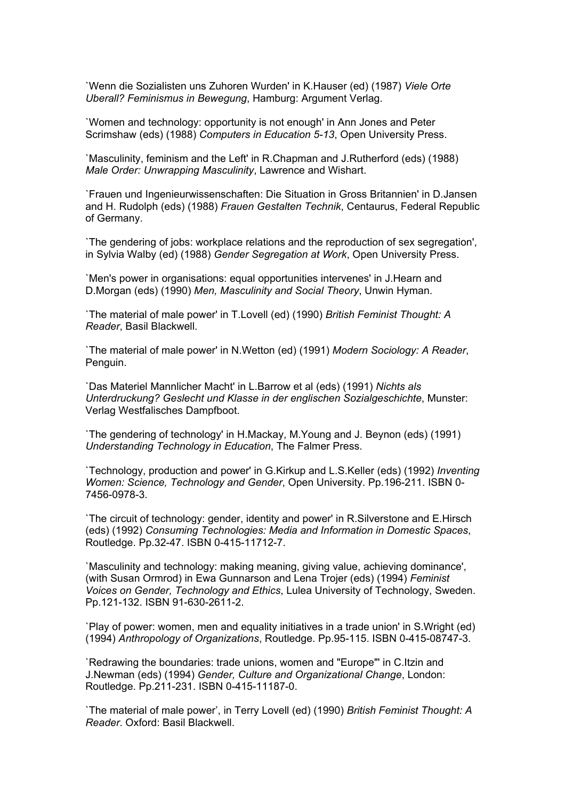`Wenn die Sozialisten uns Zuhoren Wurden' in K.Hauser (ed) (1987) *Viele Orte Uberall? Feminismus in Bewegung*, Hamburg: Argument Verlag.

`Women and technology: opportunity is not enough' in Ann Jones and Peter Scrimshaw (eds) (1988) *Computers in Education 5-13*, Open University Press.

`Masculinity, feminism and the Left' in R.Chapman and J.Rutherford (eds) (1988) *Male Order: Unwrapping Masculinity*, Lawrence and Wishart.

`Frauen und Ingenieurwissenschaften: Die Situation in Gross Britannien' in D.Jansen and H. Rudolph (eds) (1988) *Frauen Gestalten Technik*, Centaurus, Federal Republic of Germany.

`The gendering of jobs: workplace relations and the reproduction of sex segregation', in Sylvia Walby (ed) (1988) *Gender Segregation at Work*, Open University Press.

`Men's power in organisations: equal opportunities intervenes' in J.Hearn and D.Morgan (eds) (1990) *Men, Masculinity and Social Theory*, Unwin Hyman.

`The material of male power' in T.Lovell (ed) (1990) *British Feminist Thought: A Reader*, Basil Blackwell.

`The material of male power' in N.Wetton (ed) (1991) *Modern Sociology: A Reader*, Penguin.

`Das Materiel Mannlicher Macht' in L.Barrow et al (eds) (1991) *Nichts als Unterdruckung? Geslecht und Klasse in der englischen Sozialgeschichte*, Munster: Verlag Westfalisches Dampfboot.

`The gendering of technology' in H.Mackay, M.Young and J. Beynon (eds) (1991) *Understanding Technology in Education*, The Falmer Press.

`Technology, production and power' in G.Kirkup and L.S.Keller (eds) (1992) *Inventing Women: Science, Technology and Gender*, Open University. Pp.196-211. ISBN 0- 7456-0978-3.

`The circuit of technology: gender, identity and power' in R.Silverstone and E.Hirsch (eds) (1992) *Consuming Technologies: Media and Information in Domestic Spaces*, Routledge. Pp.32-47. ISBN 0-415-11712-7.

`Masculinity and technology: making meaning, giving value, achieving dominance', (with Susan Ormrod) in Ewa Gunnarson and Lena Trojer (eds) (1994) *Feminist Voices on Gender, Technology and Ethics*, Lulea University of Technology, Sweden. Pp.121-132. ISBN 91-630-2611-2.

`Play of power: women, men and equality initiatives in a trade union' in S.Wright (ed) (1994) *Anthropology of Organizations*, Routledge. Pp.95-115. ISBN 0-415-08747-3.

`Redrawing the boundaries: trade unions, women and "Europe"' in C.Itzin and J.Newman (eds) (1994) *Gender, Culture and Organizational Change*, London: Routledge. Pp.211-231. ISBN 0-415-11187-0.

`The material of male power', in Terry Lovell (ed) (1990) *British Feminist Thought: A Reader*. Oxford: Basil Blackwell.